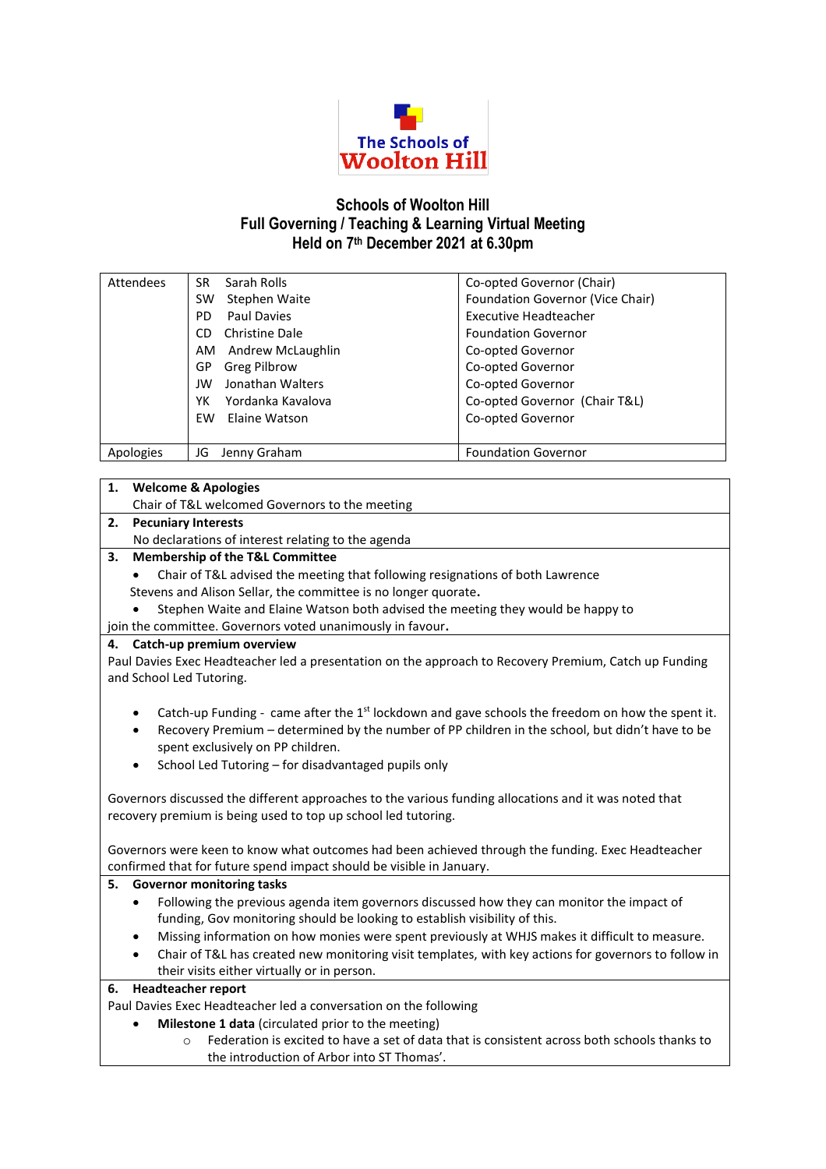

## **Schools of Woolton Hill Full Governing / Teaching & Learning Virtual Meeting Held on 7 th December 2021 at 6.30pm**

| Attendees | Sarah Rolls<br>SR.      | Co-opted Governor (Chair)        |
|-----------|-------------------------|----------------------------------|
|           | Stephen Waite<br>SW     | Foundation Governor (Vice Chair) |
|           | Paul Davies<br>PD.      | <b>Executive Headteacher</b>     |
|           | Christine Dale<br>CD.   | <b>Foundation Governor</b>       |
|           | Andrew McLaughlin<br>AM | Co-opted Governor                |
|           | Greg Pilbrow<br>GP      | Co-opted Governor                |
|           | Jonathan Walters<br>JW  | Co-opted Governor                |
|           | Yordanka Kavalova<br>YK | Co-opted Governor (Chair T&L)    |
|           | Elaine Watson<br>EW     | Co-opted Governor                |
|           |                         |                                  |
| Apologies | Jenny Graham<br>JG      | <b>Foundation Governor</b>       |

# Chair of T&L welcomed Governors to the meeting

**1. Welcome & Apologies**

**2. Pecuniary Interests**

No declarations of interest relating to the agenda

- **3. Membership of the T&L Committee**
	- Chair of T&L advised the meeting that following resignations of both Lawrence Stevens and Alison Sellar, the committee is no longer quorate**.**
	- Stephen Waite and Elaine Watson both advised the meeting they would be happy to
- join the committee. Governors voted unanimously in favour**.**

## **4. Catch-up premium overview**

Paul Davies Exec Headteacher led a presentation on the approach to Recovery Premium, Catch up Funding and School Led Tutoring.

- Catch-up Funding came after the  $1<sup>st</sup>$  lockdown and gave schools the freedom on how the spent it.
- Recovery Premium determined by the number of PP children in the school, but didn't have to be spent exclusively on PP children.
- School Led Tutoring for disadvantaged pupils only

Governors discussed the different approaches to the various funding allocations and it was noted that recovery premium is being used to top up school led tutoring.

Governors were keen to know what outcomes had been achieved through the funding. Exec Headteacher confirmed that for future spend impact should be visible in January.

#### **5. Governor monitoring tasks**

- Following the previous agenda item governors discussed how they can monitor the impact of funding, Gov monitoring should be looking to establish visibility of this.
- Missing information on how monies were spent previously at WHJS makes it difficult to measure.
- Chair of T&L has created new monitoring visit templates, with key actions for governors to follow in their visits either virtually or in person.

#### **6. Headteacher report**

Paul Davies Exec Headteacher led a conversation on the following

- **Milestone 1 data** (circulated prior to the meeting)
	- o Federation is excited to have a set of data that is consistent across both schools thanks to the introduction of Arbor into ST Thomas'.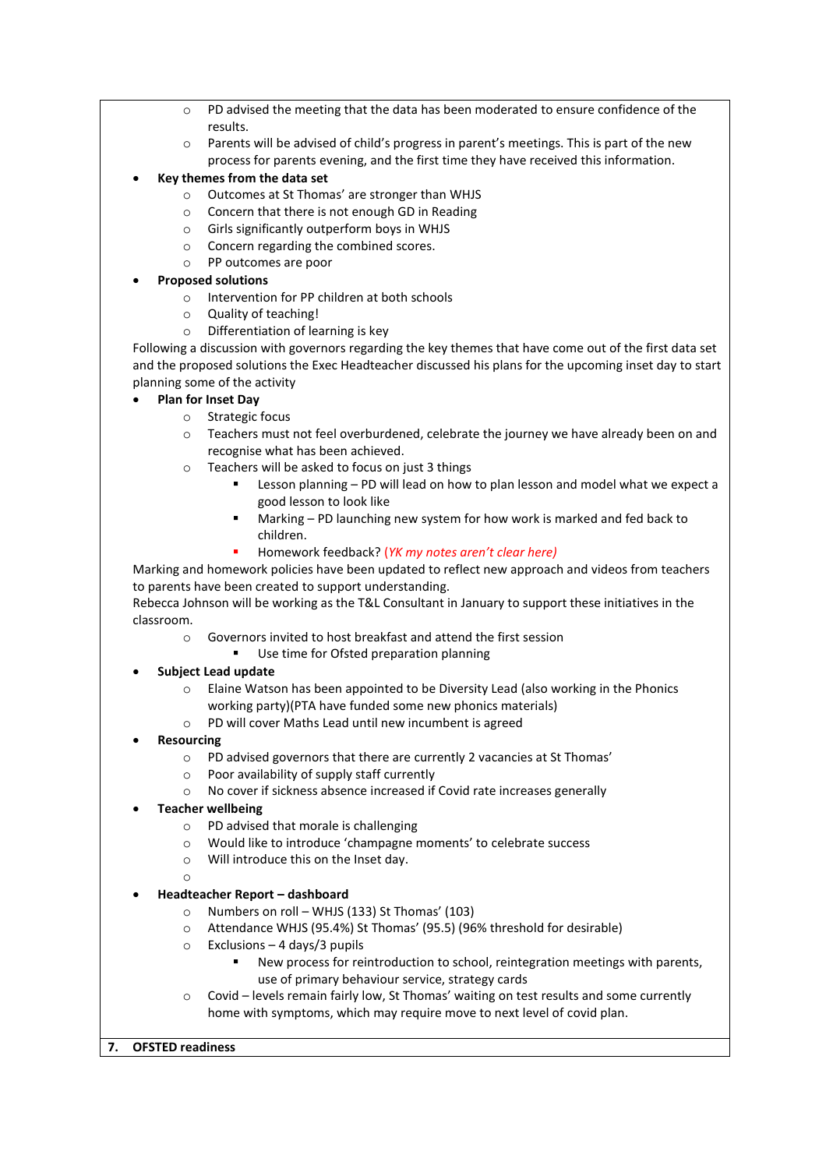- $\circ$  PD advised the meeting that the data has been moderated to ensure confidence of the results.
- o Parents will be advised of child's progress in parent's meetings. This is part of the new process for parents evening, and the first time they have received this information.
- **Key themes from the data set**
	- o Outcomes at St Thomas' are stronger than WHJS
	- o Concern that there is not enough GD in Reading
	- o Girls significantly outperform boys in WHJS
	- o Concern regarding the combined scores.
	- o PP outcomes are poor

## **Proposed solutions**

- o Intervention for PP children at both schools
- o Quality of teaching!
- o Differentiation of learning is key

Following a discussion with governors regarding the key themes that have come out of the first data set and the proposed solutions the Exec Headteacher discussed his plans for the upcoming inset day to start planning some of the activity

- **Plan for Inset Day**
	- o Strategic focus
	- o Teachers must not feel overburdened, celebrate the journey we have already been on and recognise what has been achieved.
	- o Teachers will be asked to focus on just 3 things
		- Lesson planning PD will lead on how to plan lesson and model what we expect a good lesson to look like
		- Marking PD launching new system for how work is marked and fed back to children.
		- Homework feedback? (*YK my notes aren't clear here)*

Marking and homework policies have been updated to reflect new approach and videos from teachers to parents have been created to support understanding.

Rebecca Johnson will be working as the T&L Consultant in January to support these initiatives in the classroom.

- o Governors invited to host breakfast and attend the first session
- Use time for Ofsted preparation planning

## **Subject Lead update**

- o Elaine Watson has been appointed to be Diversity Lead (also working in the Phonics working party)(PTA have funded some new phonics materials)
- o PD will cover Maths Lead until new incumbent is agreed
- **Resourcing**
	- o PD advised governors that there are currently 2 vacancies at St Thomas'
	- o Poor availability of supply staff currently
	- o No cover if sickness absence increased if Covid rate increases generally
- **Teacher wellbeing**
	- o PD advised that morale is challenging
	- o Would like to introduce 'champagne moments' to celebrate success
	- o Will introduce this on the Inset day.

o

- **Headteacher Report – dashboard**
	- o Numbers on roll WHJS (133) St Thomas' (103)
	- o Attendance WHJS (95.4%) St Thomas' (95.5) (96% threshold for desirable)
	- $\circ$  Exclusions 4 days/3 pupils
		- New process for reintroduction to school, reintegration meetings with parents, use of primary behaviour service, strategy cards
	- $\circ$  Covid levels remain fairly low, St Thomas' waiting on test results and some currently home with symptoms, which may require move to next level of covid plan.

## **7. OFSTED readiness**